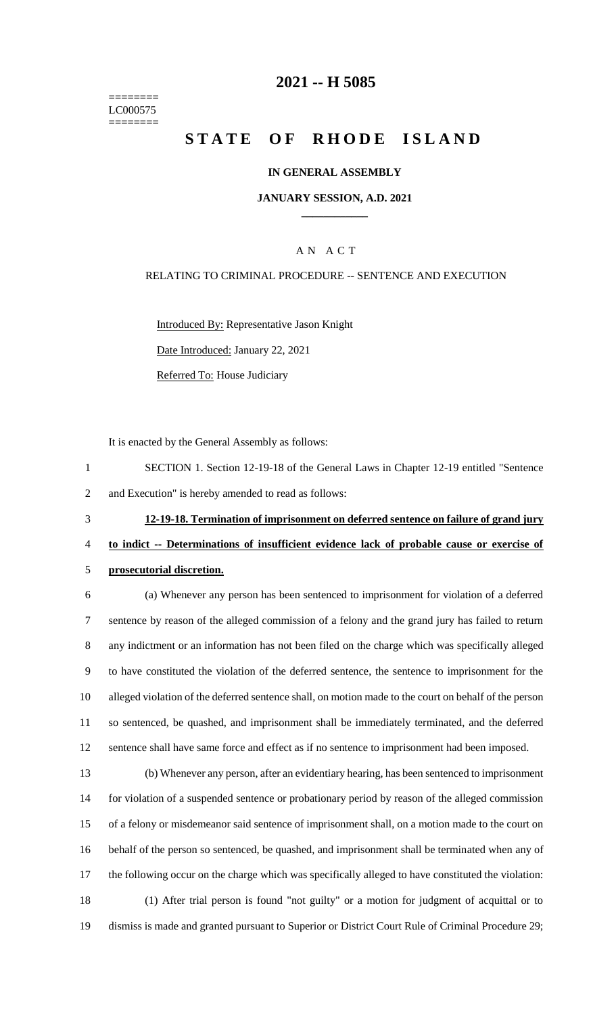======== LC000575 ========

## **-- H 5085**

# **STATE OF RHODE ISLAND**

#### **IN GENERAL ASSEMBLY**

#### **JANUARY SESSION, A.D. 2021 \_\_\_\_\_\_\_\_\_\_\_\_**

## A N A C T

## RELATING TO CRIMINAL PROCEDURE -- SENTENCE AND EXECUTION

Introduced By: Representative Jason Knight

Date Introduced: January 22, 2021

Referred To: House Judiciary

It is enacted by the General Assembly as follows:

- SECTION 1. Section 12-19-18 of the General Laws in Chapter 12-19 entitled "Sentence and Execution" is hereby amended to read as follows:
- 

**12-19-18. Termination of imprisonment on deferred sentence on failure of grand jury** 

- **to indict -- Determinations of insufficient evidence lack of probable cause or exercise of**
- **prosecutorial discretion.**

 (a) Whenever any person has been sentenced to imprisonment for violation of a deferred sentence by reason of the alleged commission of a felony and the grand jury has failed to return any indictment or an information has not been filed on the charge which was specifically alleged to have constituted the violation of the deferred sentence, the sentence to imprisonment for the alleged violation of the deferred sentence shall, on motion made to the court on behalf of the person so sentenced, be quashed, and imprisonment shall be immediately terminated, and the deferred sentence shall have same force and effect as if no sentence to imprisonment had been imposed.

 (b) Whenever any person, after an evidentiary hearing, has been sentenced to imprisonment for violation of a suspended sentence or probationary period by reason of the alleged commission of a felony or misdemeanor said sentence of imprisonment shall, on a motion made to the court on behalf of the person so sentenced, be quashed, and imprisonment shall be terminated when any of the following occur on the charge which was specifically alleged to have constituted the violation: (1) After trial person is found "not guilty" or a motion for judgment of acquittal or to dismiss is made and granted pursuant to Superior or District Court Rule of Criminal Procedure 29;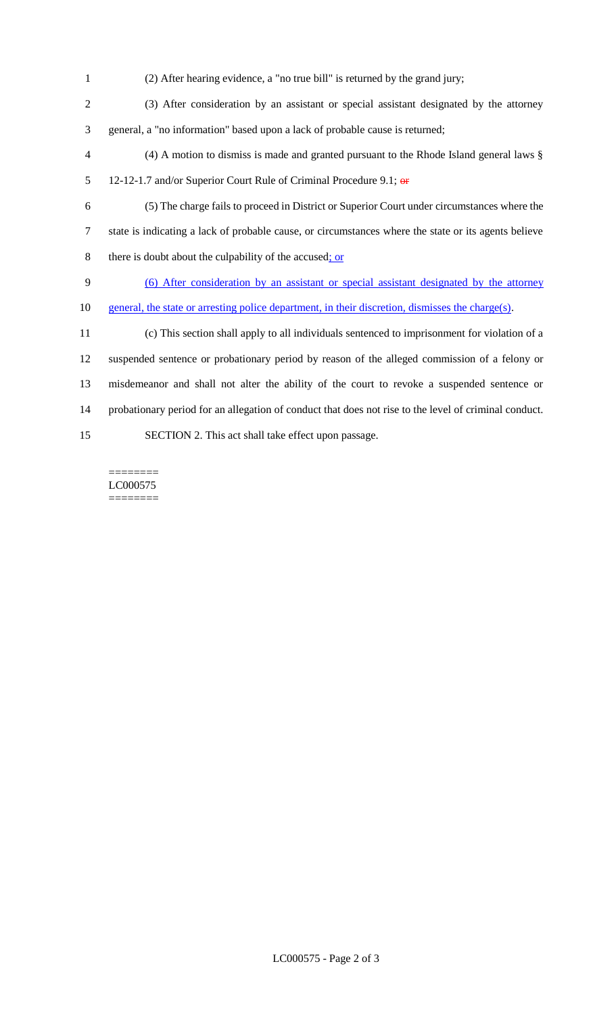(2) After hearing evidence, a "no true bill" is returned by the grand jury; (3) After consideration by an assistant or special assistant designated by the attorney general, a "no information" based upon a lack of probable cause is returned; (4) A motion to dismiss is made and granted pursuant to the Rhode Island general laws § 5 12-12-1.7 and/or Superior Court Rule of Criminal Procedure 9.1; or (5) The charge fails to proceed in District or Superior Court under circumstances where the state is indicating a lack of probable cause, or circumstances where the state or its agents believe 8 there is doubt about the culpability of the accused; or (6) After consideration by an assistant or special assistant designated by the attorney general, the state or arresting police department, in their discretion, dismisses the charge(s). (c) This section shall apply to all individuals sentenced to imprisonment for violation of a suspended sentence or probationary period by reason of the alleged commission of a felony or misdemeanor and shall not alter the ability of the court to revoke a suspended sentence or probationary period for an allegation of conduct that does not rise to the level of criminal conduct. SECTION 2. This act shall take effect upon passage.

======== LC000575 ========